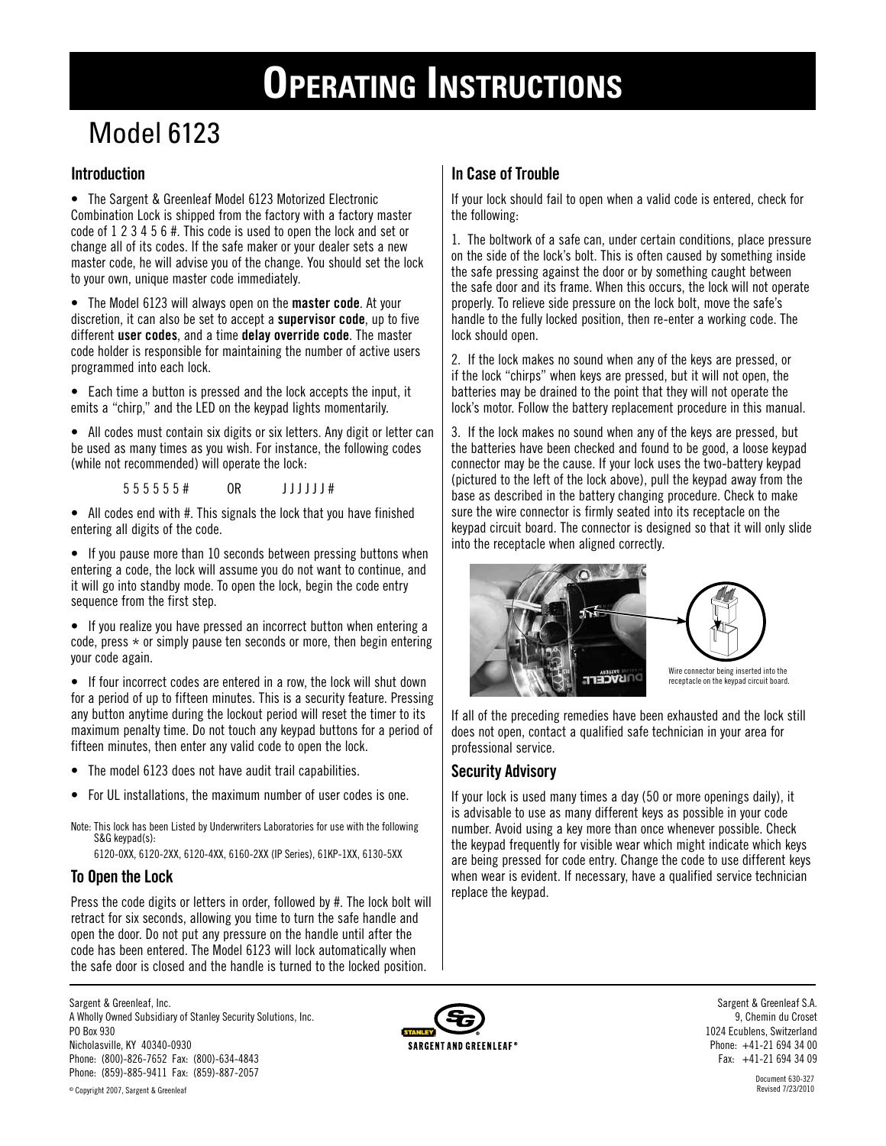# **Operating Instructions**

**In Case of Trouble**

# Model 6123

# **Introduction**

• The Sargent & Greenleaf Model 6123 Motorized Electronic Combination Lock is shipped from the factory with a factory master code of 1 2 3 4 5 6 #. This code is used to open the lock and set or change all of its codes. If the safe maker or your dealer sets a new master code, he will advise you of the change. You should set the lock to your own, unique master code immediately.

• The Model 6123 will always open on the **master code**. At your discretion, it can also be set to accept a **supervisor code**, up to five different **user codes**, and a time **delay override code**. The master code holder is responsible for maintaining the number of active users programmed into each lock.

• Each time a button is pressed and the lock accepts the input, it emits a "chirp," and the LED on the keypad lights momentarily.

• All codes must contain six digits or six letters. Any digit or letter can be used as many times as you wish. For instance, the following codes (while not recommended) will operate the lock:

5 5 5 5 5 5 5 + 0R J J J J J J #

• All codes end with #. This signals the lock that you have finished entering all digits of the code.

• If you pause more than 10 seconds between pressing buttons when entering a code, the lock will assume you do not want to continue, and it will go into standby mode. To open the lock, begin the code entry sequence from the first step.

• If you realize you have pressed an incorrect button when entering a code, press  $*$  or simply pause ten seconds or more, then begin entering your code again.

• If four incorrect codes are entered in a row, the lock will shut down for a period of up to fifteen minutes. This is a security feature. Pressing any button anytime during the lockout period will reset the timer to its maximum penalty time. Do not touch any keypad buttons for a period of fifteen minutes, then enter any valid code to open the lock.

- The model 6123 does not have audit trail capabilities.
- For UL installations, the maximum number of user codes is one.

Note: This lock has been Listed by Underwriters Laboratories for use with the following S&G keypad(s):

6120-0XX, 6120-2XX, 6120-4XX, 6160-2XX (IP Series), 61KP-1XX, 6130-5XX

# **To Open the Lock**

Press the code digits or letters in order, followed by #. The lock bolt will retract for six seconds, allowing you time to turn the safe handle and open the door. Do not put any pressure on the handle until after the code has been entered. The Model 6123 will lock automatically when the safe door is closed and the handle is turned to the locked position.

# If your lock should fail to open when a valid code is entered, check for the following:

1. The boltwork of a safe can, under certain conditions, place pressure on the side of the lock's bolt. This is often caused by something inside the safe pressing against the door or by something caught between the safe door and its frame. When this occurs, the lock will not operate properly. To relieve side pressure on the lock bolt, move the safe's handle to the fully locked position, then re-enter a working code. The lock should open.

2. If the lock makes no sound when any of the keys are pressed, or if the lock "chirps" when keys are pressed, but it will not open, the batteries may be drained to the point that they will not operate the lock's motor. Follow the battery replacement procedure in this manual.

3. If the lock makes no sound when any of the keys are pressed, but the batteries have been checked and found to be good, a loose keypad connector may be the cause. If your lock uses the two-battery keypad (pictured to the left of the lock above), pull the keypad away from the base as described in the battery changing procedure. Check to make sure the wire connector is firmly seated into its receptacle on the keypad circuit board. The connector is designed so that it will only slide into the receptacle when aligned correctly.





Wire connector being inserted into the receptacle on the keypad circuit board.

If all of the preceding remedies have been exhausted and the lock still does not open, contact a qualified safe technician in your area for professional service.

# **Security Advisory**

If your lock is used many times a day (50 or more openings daily), it is advisable to use as many different keys as possible in your code number. Avoid using a key more than once whenever possible. Check the keypad frequently for visible wear which might indicate which keys are being pressed for code entry. Change the code to use different keys when wear is evident. If necessary, have a qualified service technician replace the keypad.

Sargent & Greenleaf, Inc. A Wholly Owned Subsidiary of Stanley Security Solutions, Inc. PO Box 930 Nicholasville, KY 40340-0930 Phone: (800)-826-7652 Fax: (800)-634-4843 Phone: (859)-885-9411 Fax: (859)-887-2057



Sargent & Greenleaf S.A. 9, Chemin du Croset 1024 Ecublens, Switzerland Phone: +41-21 694 34 00 Fax: +41-21 694 34 09

> Document 630-327 Revised 7/23/2010

© Copyright 2007, Sargent & Greenleaf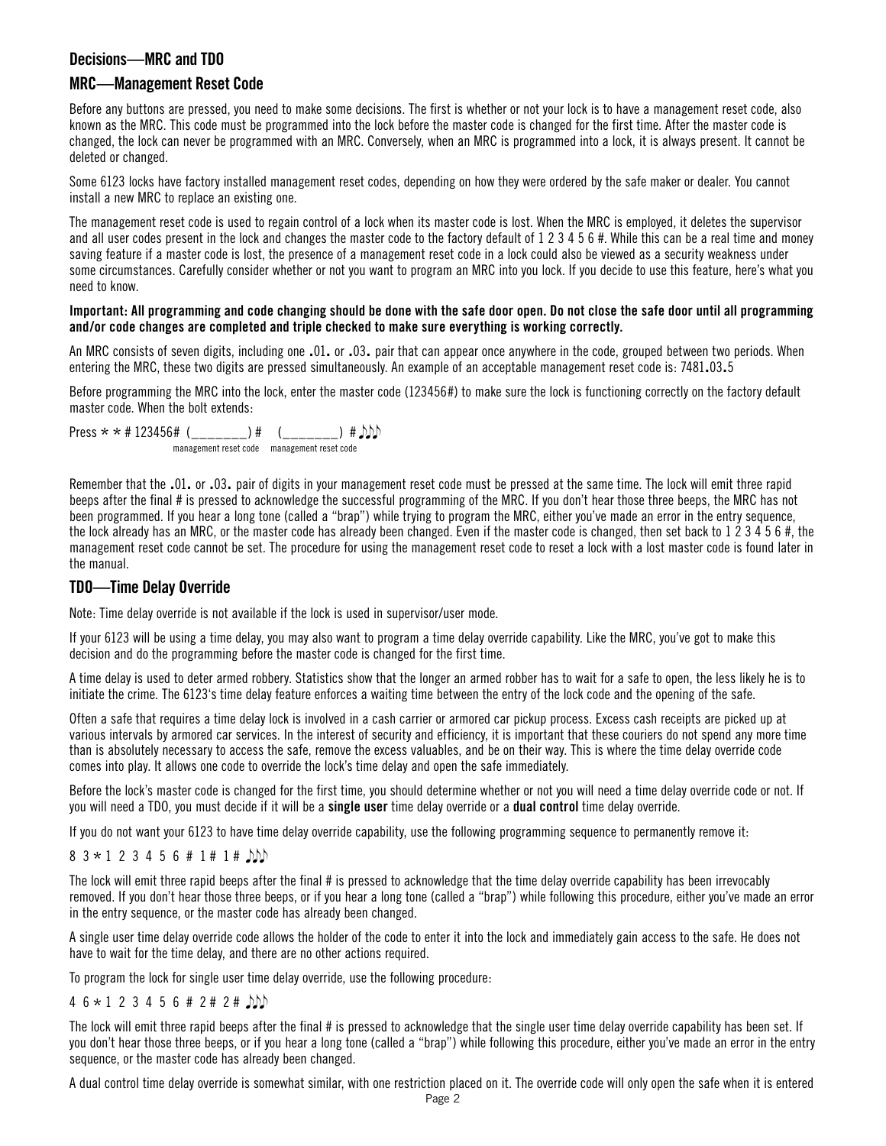#### **Decisions—MRC and TDO**

#### **MRC—Management Reset Code**

Before any buttons are pressed, you need to make some decisions. The first is whether or not your lock is to have a management reset code, also known as the MRC. This code must be programmed into the lock before the master code is changed for the first time. After the master code is changed, the lock can never be programmed with an MRC. Conversely, when an MRC is programmed into a lock, it is always present. It cannot be deleted or changed.

Some 6123 locks have factory installed management reset codes, depending on how they were ordered by the safe maker or dealer. You cannot install a new MRC to replace an existing one.

The management reset code is used to regain control of a lock when its master code is lost. When the MRC is employed, it deletes the supervisor and all user codes present in the lock and changes the master code to the factory default of 1 2 3 4 5 6 #. While this can be a real time and money saving feature if a master code is lost, the presence of a management reset code in a lock could also be viewed as a security weakness under some circumstances. Carefully consider whether or not you want to program an MRC into you lock. If you decide to use this feature, here's what you need to know.

#### **Important: All programming and code changing should be done with the safe door open. Do not close the safe door until all programming and/or code changes are completed and triple checked to make sure everything is working correctly.**

An MRC consists of seven digits, including one .01. or .03. pair that can appear once anywhere in the code, grouped between two periods. When entering the MRC, these two digits are pressed simultaneously. An example of an acceptable management reset code is: 7481.03.5

Before programming the MRC into the lock, enter the master code (123456#) to make sure the lock is functioning correctly on the factory default master code. When the bolt extends:

Press  $* * # 123456#$  ( ) #  $\bigcirc$  ) #  $\bigcirc$ management reset code management reset code

Remember that the .01. or .03. pair of digits in your management reset code must be pressed at the same time. The lock will emit three rapid beeps after the final # is pressed to acknowledge the successful programming of the MRC. If you don't hear those three beeps, the MRC has not been programmed. If you hear a long tone (called a "brap") while trying to program the MRC, either you've made an error in the entry sequence, the lock already has an MRC, or the master code has already been changed. Even if the master code is changed, then set back to 1 2 3 4 5 6 #, the management reset code cannot be set. The procedure for using the management reset code to reset a lock with a lost master code is found later in the manual.

#### **TDO—Time Delay Override**

Note: Time delay override is not available if the lock is used in supervisor/user mode.

If your 6123 will be using a time delay, you may also want to program a time delay override capability. Like the MRC, you've got to make this decision and do the programming before the master code is changed for the first time.

A time delay is used to deter armed robbery. Statistics show that the longer an armed robber has to wait for a safe to open, the less likely he is to initiate the crime. The 6123's time delay feature enforces a waiting time between the entry of the lock code and the opening of the safe.

Often a safe that requires a time delay lock is involved in a cash carrier or armored car pickup process. Excess cash receipts are picked up at various intervals by armored car services. In the interest of security and efficiency, it is important that these couriers do not spend any more time than is absolutely necessary to access the safe, remove the excess valuables, and be on their way. This is where the time delay override code comes into play. It allows one code to override the lock's time delay and open the safe immediately.

Before the lock's master code is changed for the first time, you should determine whether or not you will need a time delay override code or not. If you will need a TDO, you must decide if it will be a **single user** time delay override or a **dual control** time delay override.

If you do not want your 6123 to have time delay override capability, use the following programming sequence to permanently remove it:

 $8$  3  $\star$  1 2 3 4 5 6 # 1 # 1 #  $\Box$ 

The lock will emit three rapid beeps after the final # is pressed to acknowledge that the time delay override capability has been irrevocably removed. If you don't hear those three beeps, or if you hear a long tone (called a "brap") while following this procedure, either you've made an error in the entry sequence, or the master code has already been changed.

A single user time delay override code allows the holder of the code to enter it into the lock and immediately gain access to the safe. He does not have to wait for the time delay, and there are no other actions required.

To program the lock for single user time delay override, use the following procedure:

#### 4 6 \* 1 2 3 4 5 6 # 2 # 2 #

The lock will emit three rapid beeps after the final # is pressed to acknowledge that the single user time delay override capability has been set. If you don't hear those three beeps, or if you hear a long tone (called a "brap") while following this procedure, either you've made an error in the entry sequence, or the master code has already been changed.

A dual control time delay override is somewhat similar, with one restriction placed on it. The override code will only open the safe when it is entered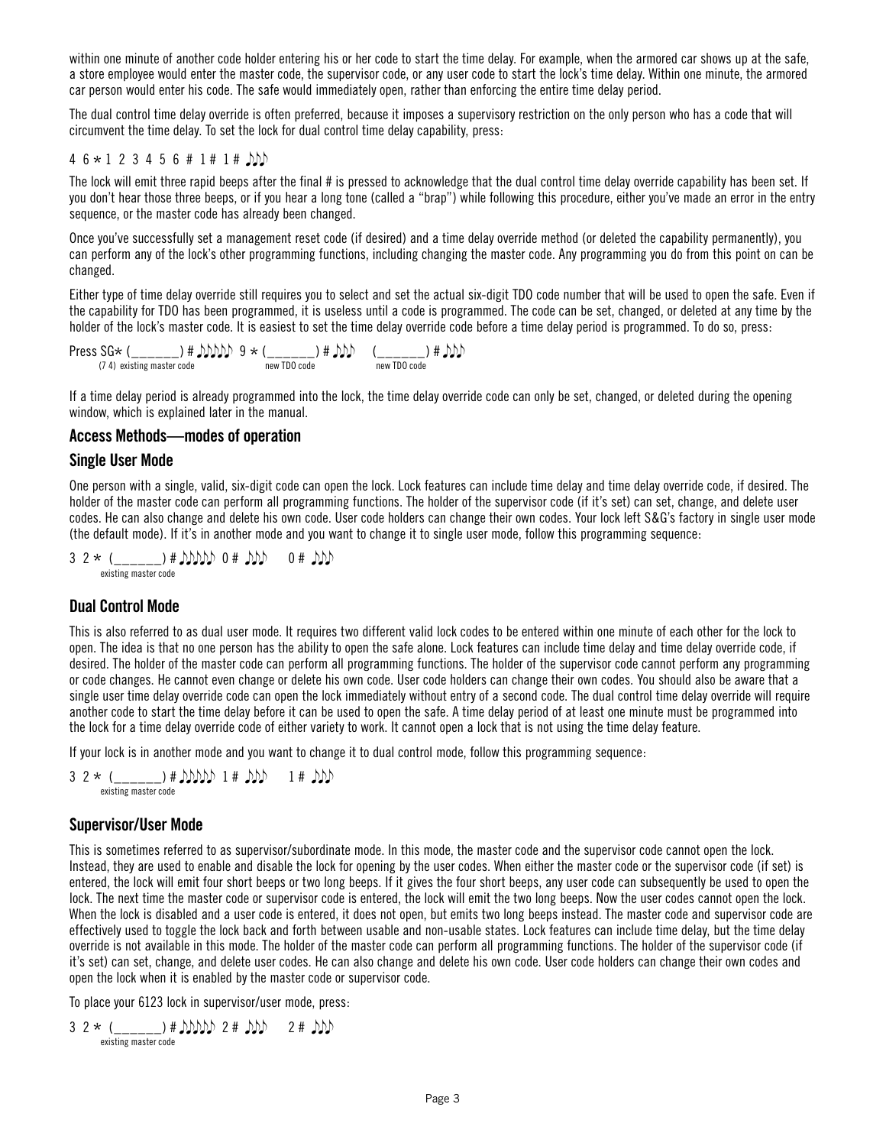within one minute of another code holder entering his or her code to start the time delay. For example, when the armored car shows up at the safe. a store employee would enter the master code, the supervisor code, or any user code to start the lock's time delay. Within one minute, the armored car person would enter his code. The safe would immediately open, rather than enforcing the entire time delay period.

The dual control time delay override is often preferred, because it imposes a supervisory restriction on the only person who has a code that will circumvent the time delay. To set the lock for dual control time delay capability, press:

#### $4\,6\times1\,2\,3\,4\,5\,6\,\#1\,\#1\,\#$   $\Box\Box$

The lock will emit three rapid beeps after the final # is pressed to acknowledge that the dual control time delay override capability has been set. If you don't hear those three beeps, or if you hear a long tone (called a "brap") while following this procedure, either you've made an error in the entry sequence, or the master code has already been changed.

Once you've successfully set a management reset code (if desired) and a time delay override method (or deleted the capability permanently), you can perform any of the lock's other programming functions, including changing the master code. Any programming you do from this point on can be changed.

Either type of time delay override still requires you to select and set the actual six-digit TDO code number that will be used to open the safe. Even if the capability for TDO has been programmed, it is useless until a code is programmed. The code can be set, changed, or deleted at any time by the holder of the lock's master code. It is easiest to set the time delay override code before a time delay period is programmed. To do so, press:

 $\text{Press SG} \times (\_\_\_\_\_\_\_\) \# \text{DDDD} \text{ 9 } \star (\_\_\_\_\_\_ \) \# \text{DD} \text{ 0 code } (\_74) \text{ existing master code}$ 

If a time delay period is already programmed into the lock, the time delay override code can only be set, changed, or deleted during the opening window, which is explained later in the manual.

#### **Access Methods—modes of operation**

#### **Single User Mode**

One person with a single, valid, six-digit code can open the lock. Lock features can include time delay and time delay override code, if desired. The holder of the master code can perform all programming functions. The holder of the supervisor code (if it's set) can set, change, and delete user codes. He can also change and delete his own code. User code holders can change their own codes. Your lock left S&G's factory in single user mode (the default mode). If it's in another mode and you want to change it to single user mode, follow this programming sequence:

 $3$  2  $*$  (\_\_\_\_\_\_) #  $MDMD 0$  #  $DD 0$  #  $DD$ existing master code

#### **Dual Control Mode**

This is also referred to as dual user mode. It requires two different valid lock codes to be entered within one minute of each other for the lock to open. The idea is that no one person has the ability to open the safe alone. Lock features can include time delay and time delay override code, if desired. The holder of the master code can perform all programming functions. The holder of the supervisor code cannot perform any programming or code changes. He cannot even change or delete his own code. User code holders can change their own codes. You should also be aware that a single user time delay override code can open the lock immediately without entry of a second code. The dual control time delay override will require another code to start the time delay before it can be used to open the safe. A time delay period of at least one minute must be programmed into the lock for a time delay override code of either variety to work. It cannot open a lock that is not using the time delay feature.

If your lock is in another mode and you want to change it to dual control mode, follow this programming sequence:

 $3$  2  $*$  ( \_\_\_\_\_\_) #  $MDD + 1$  #  $MD - 1$  #  $MD$ existing master code

#### **Supervisor/User Mode**

This is sometimes referred to as supervisor/subordinate mode. In this mode, the master code and the supervisor code cannot open the lock. Instead, they are used to enable and disable the lock for opening by the user codes. When either the master code or the supervisor code (if set) is entered, the lock will emit four short beeps or two long beeps. If it gives the four short beeps, any user code can subsequently be used to open the lock. The next time the master code or supervisor code is entered, the lock will emit the two long beeps. Now the user codes cannot open the lock. When the lock is disabled and a user code is entered, it does not open, but emits two long beeps instead. The master code and supervisor code are effectively used to toggle the lock back and forth between usable and non-usable states. Lock features can include time delay, but the time delay override is not available in this mode. The holder of the master code can perform all programming functions. The holder of the supervisor code (if it's set) can set, change, and delete user codes. He can also change and delete his own code. User code holders can change their own codes and open the lock when it is enabled by the master code or supervisor code.

To place your 6123 lock in supervisor/user mode, press:

 $3$  2  $*$  (\_\_\_\_\_\_\_) #  $DDD 2$  #  $DD 2$  #  $DD$ existing master code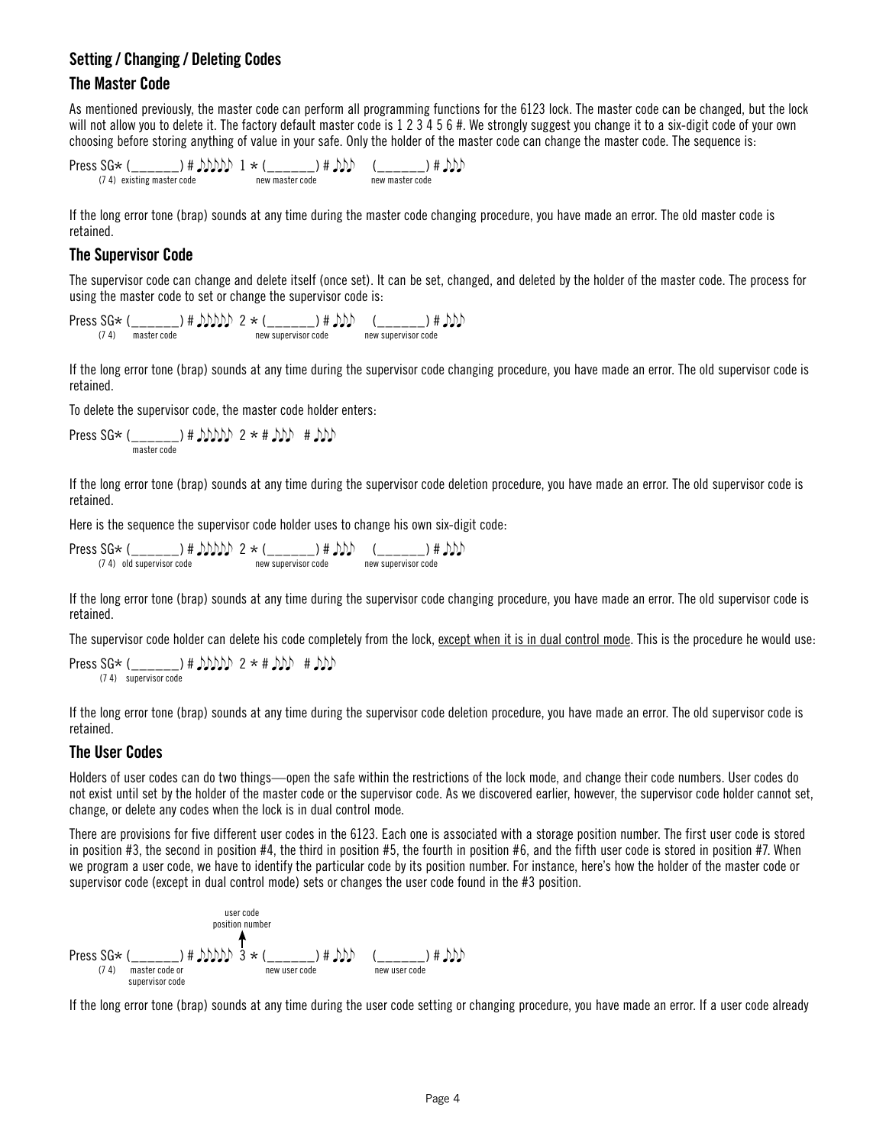# **Setting / Changing / Deleting Codes**

#### **The Master Code**

As mentioned previously, the master code can perform all programming functions for the 6123 lock. The master code can be changed, but the lock will not allow you to delete it. The factory default master code is 1 2 3 4 5 6 #. We strongly suggest you change it to a six-digit code of your own choosing before storing anything of value in your safe. Only the holder of the master code can change the master code. The sequence is:

$$
\begin{array}{ccc}\n\text{Press SG} \times \text{ (}\_\_\_\_\_\_\_\_\_\_\_\_\_\_\_\_\_\_\_ \)\# \text{ only 1} \times \text{ (}\_\_\_\_\_\_\_\_\_\_\_ \)\# \text{ only} & (\_\_\_\_\_\_\_\_\_\_\_\_ \)\# \text{ only} \\
\text{new master code} & \text{new master code}\n\end{array}
$$

If the long error tone (brap) sounds at any time during the master code changing procedure, you have made an error. The old master code is retained.

# **The Supervisor Code**

The supervisor code can change and delete itself (once set). It can be set, changed, and deleted by the holder of the master code. The process for using the master code to set or change the supervisor code is:

 $\text{Press SG} \leftarrow (\_\_\_\_\_\_\_\_\_\_\_\_\_\_\_\_\_ \$ \# \text{J} \text{J} \text{J} \text{J} \text{J} \quad 2 \times (\\_\\_\\_\\_\\_\\_\\_\\_\\_\\_\\_\\_\\_\\_ \# \text{J} \text{J} \text{J} \text{J} \quad (\\_\\_\\_\\_\\_\\_\\_\\_\\_\\_ \) \# \text{J} \text{J} \text{J} \text{J} \quad \\_ \text{new supervisor code}

If the long error tone (brap) sounds at any time during the supervisor code changing procedure, you have made an error. The old supervisor code is retained.

To delete the supervisor code, the master code holder enters:

Press SG\*  $($ <sub>\_\_\_\_\_\_</sub>) #  $MDMD 2 * #$   $MD #$   $MD$ master code

If the long error tone (brap) sounds at any time during the supervisor code deletion procedure, you have made an error. The old supervisor code is retained.

Here is the sequence the supervisor code holder uses to change his own six-digit code:

Press  $SG*$  (\_\_\_\_\_\_\_) #  $MDD$  2  $*$  (\_\_\_\_\_\_) #  $DD$  (\_\_\_\_\_\_) #  $DD$  (24) old supervisor code new supervisor code new supervisor code

If the long error tone (brap) sounds at any time during the supervisor code changing procedure, you have made an error. The old supervisor code is retained.

The supervisor code holder can delete his code completely from the lock, except when it is in dual control mode. This is the procedure he would use:

```
Press SG* (_______) # MDMD \geq * # MD # MD(7 4) supervisor code
```
If the long error tone (brap) sounds at any time during the supervisor code deletion procedure, you have made an error. The old supervisor code is retained.

#### **The User Codes**

Holders of user codes can do two things—open the safe within the restrictions of the lock mode, and change their code numbers. User codes do not exist until set by the holder of the master code or the supervisor code. As we discovered earlier, however, the supervisor code holder cannot set, change, or delete any codes when the lock is in dual control mode.

There are provisions for five different user codes in the 6123. Each one is associated with a storage position number. The first user code is stored in position #3, the second in position #4, the third in position #5, the fourth in position #6, and the fifth user code is stored in position #7. When we program a user code, we have to identify the particular code by its position number. For instance, here's how the holder of the master code or supervisor code (except in dual control mode) sets or changes the user code found in the #3 position.

First code position number

\n
$$
\uparrow
$$
\nPress SG\* (`__________`) # `JohnD3` \* (`__________`) # `ND` (`__________`) # `DD`)\nFirster code or  
subervisor code

\nSubtrivial case of a new user code

If the long error tone (brap) sounds at any time during the user code setting or changing procedure, you have made an error. If a user code already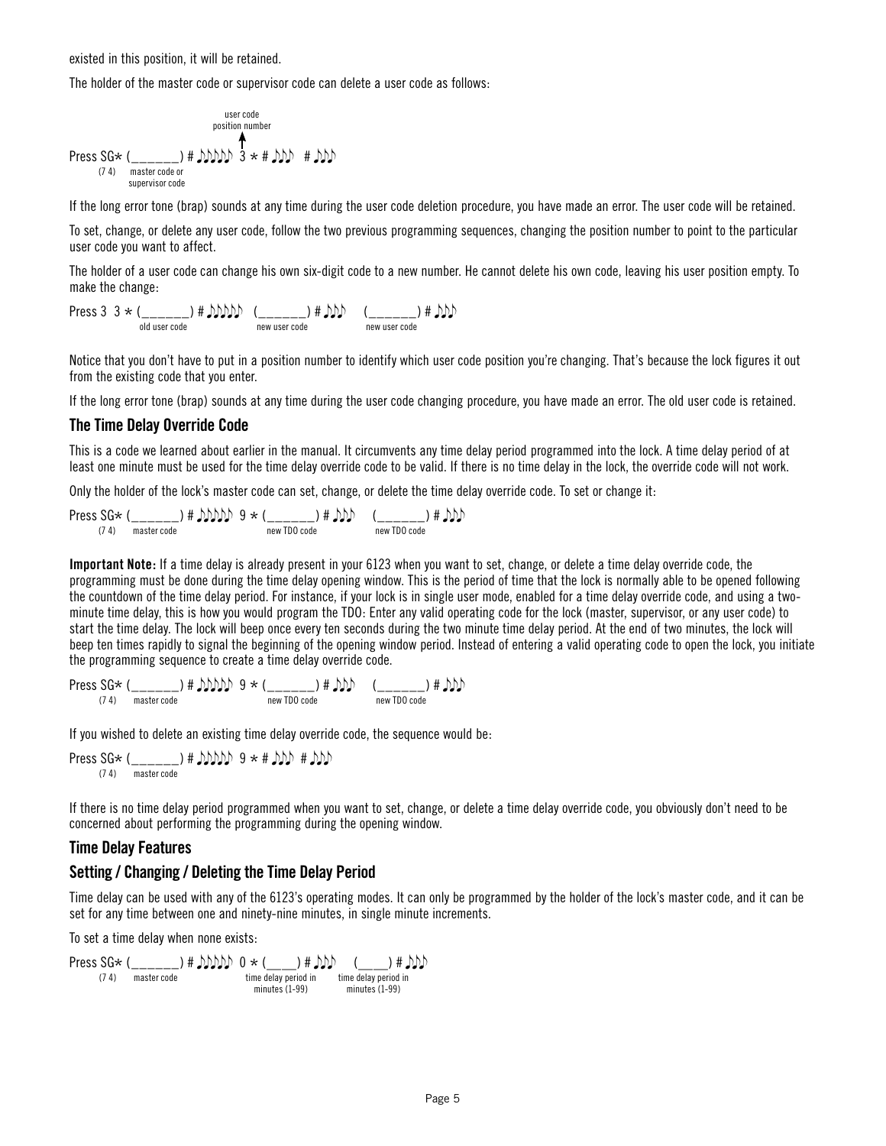existed in this position, it will be retained.

The holder of the master code or supervisor code can delete a user code as follows:

Press SG\* (\_\_\_\_\_\_) # 3 \* # # master code or supervisor code (7 4) user code position number

If the long error tone (brap) sounds at any time during the user code deletion procedure, you have made an error. The user code will be retained.

To set, change, or delete any user code, follow the two previous programming sequences, changing the position number to point to the particular user code you want to affect.

The holder of a user code can change his own six-digit code to a new number. He cannot delete his own code, leaving his user position empty. To make the change:

 $\begin{CD} \mathsf{Press}\ 3\ 3\ \star\ (\_\_\_\_\_\_\_\_\_\)\ \sharp\ \mathsf{DDDD}\ \ (\_\_\_\_\_\_\_\_\_\_\)\ \mathsf{new}\ use\ \mathsf{code}\ \mathsf{new}\ use\ \mathsf{code}\ \mathsf{new}\ use\ \mathsf{node} \end{CD}$ 

Notice that you don't have to put in a position number to identify which user code position you're changing. That's because the lock figures it out from the existing code that you enter.

If the long error tone (brap) sounds at any time during the user code changing procedure, you have made an error. The old user code is retained.

#### **The Time Delay Override Code**

This is a code we learned about earlier in the manual. It circumvents any time delay period programmed into the lock. A time delay period of at least one minute must be used for the time delay override code to be valid. If there is no time delay in the lock, the override code will not work.

Only the holder of the lock's master code can set, change, or delete the time delay override code. To set or change it:

 $\text{Press SG} \times (\underbrace{\quad \quad \quad}_{(74)} \quad \text{master code} \quad # \text{ AND} \quad 9 * (\underbrace{\quad \quad \quad}_{\text{new TDO code}} \text{#} \text{ AND} \quad \text{ @ } (\underbrace{\quad \quad \quad}_{\text{new TDO code}}) \text{#} \text{ AND}$ 

**Important Note:** If a time delay is already present in your 6123 when you want to set, change, or delete a time delay override code, the programming must be done during the time delay opening window. This is the period of time that the lock is normally able to be opened following the countdown of the time delay period. For instance, if your lock is in single user mode, enabled for a time delay override code, and using a twominute time delay, this is how you would program the TDO: Enter any valid operating code for the lock (master, supervisor, or any user code) to start the time delay. The lock will beep once every ten seconds during the two minute time delay period. At the end of two minutes, the lock will beep ten times rapidly to signal the beginning of the opening window period. Instead of entering a valid operating code to open the lock, you initiate the programming sequence to create a time delay override code.

 $\text{Press SG} \leftarrow \left(\begin{array}{c} \text{---} \\ \text{---} \end{array}\right) \# \text{ DMD} \right) \rightarrow \left(\begin{array}{c} \text{---} \\ \text{new TDO code} \end{array}\right) \# \text{ DMD} \quad \left(\begin{array}{c} \text{---} \\ \text{new TDO code} \end{array}\right) \# \text{ DMD}$ 

If you wished to delete an existing time delay override code, the sequence would be:

Press SG\* (\_\_\_\_\_\_) #  $MDDD9$  \* #  $MDP$  #  $DD$ 

If there is no time delay period programmed when you want to set, change, or delete a time delay override code, you obviously don't need to be concerned about performing the programming during the opening window.

#### **Time Delay Features**

#### **Setting / Changing / Deleting the Time Delay Period**

Time delay can be used with any of the 6123's operating modes. It can only be programmed by the holder of the lock's master code, and it can be set for any time between one and ninety-nine minutes, in single minute increments.

To set a time delay when none exists:

 $\text{Press SG} \times (\underbrace{\hspace{2cm}}_{(74)} \underbrace{\hspace{2cm}}_{\text{master code}}) \# \text{ JMD} \text{D} \otimes \times (\underbrace{\hspace{2cm}}_{\text{time delay period in}}) \# \text{DDD} \quad (\underbrace{\hspace{2cm}}_{\text{time delay period in}}) \# \text{JMD}$ minutes (1-99) minutes (1-99)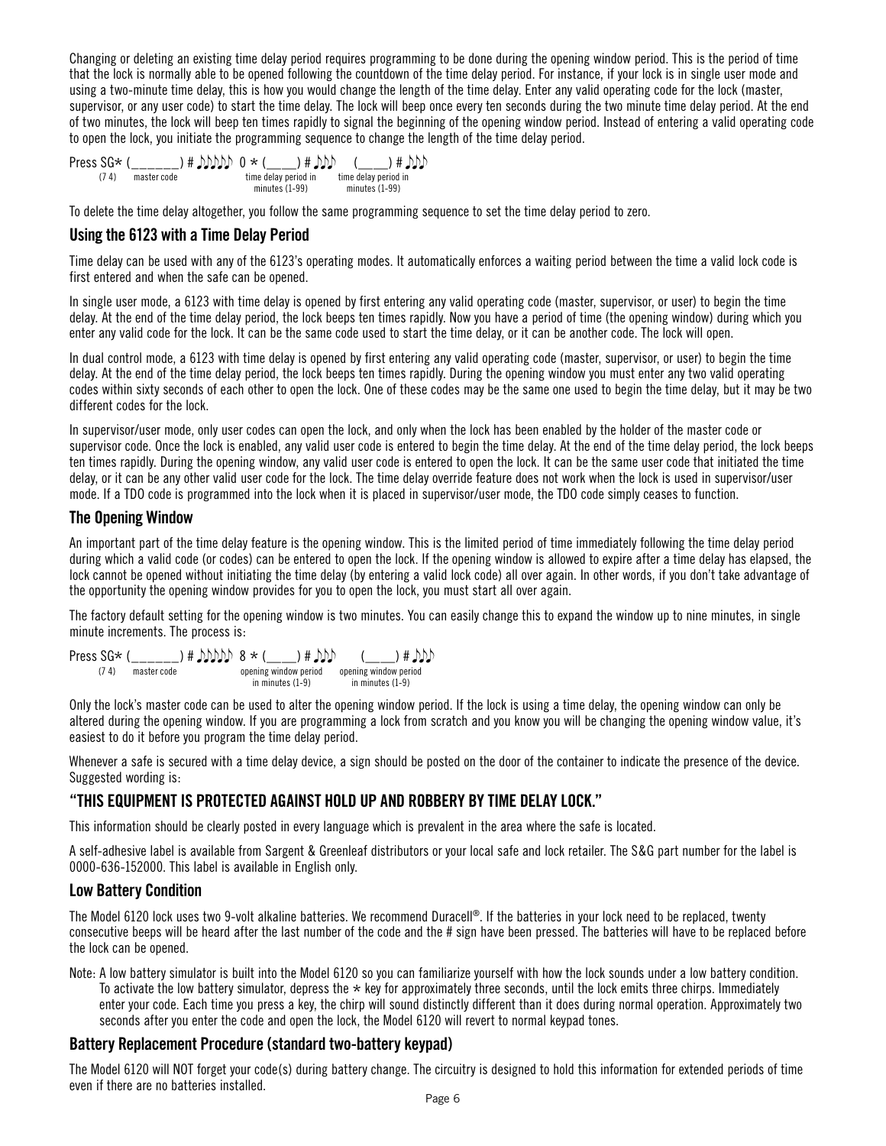Changing or deleting an existing time delay period requires programming to be done during the opening window period. This is the period of time that the lock is normally able to be opened following the countdown of the time delay period. For instance, if your lock is in single user mode and using a two-minute time delay, this is how you would change the length of the time delay. Enter any valid operating code for the lock (master, supervisor, or any user code) to start the time delay. The lock will beep once every ten seconds during the two minute time delay period. At the end of two minutes, the lock will beep ten times rapidly to signal the beginning of the opening window period. Instead of entering a valid operating code to open the lock, you initiate the programming sequence to change the length of the time delay period.

Press SG\* ( $\frac{1}{(74)}$  master code  $\left(\frac{1}{74}\right)$  #  $\frac{1}{2}$  time delay period in ——) # (——) #  $(7 4)$  master code minutes (1-99) time delay period in minutes (1-99)

To delete the time delay altogether, you follow the same programming sequence to set the time delay period to zero.

#### **Using the 6123 with a Time Delay Period**

Time delay can be used with any of the 6123's operating modes. It automatically enforces a waiting period between the time a valid lock code is first entered and when the safe can be opened.

In single user mode, a 6123 with time delay is opened by first entering any valid operating code (master, supervisor, or user) to begin the time delay. At the end of the time delay period, the lock beeps ten times rapidly. Now you have a period of time (the opening window) during which you enter any valid code for the lock. It can be the same code used to start the time delay, or it can be another code. The lock will open.

In dual control mode, a 6123 with time delay is opened by first entering any valid operating code (master, supervisor, or user) to begin the time delay. At the end of the time delay period, the lock beeps ten times rapidly. During the opening window you must enter any two valid operating codes within sixty seconds of each other to open the lock. One of these codes may be the same one used to begin the time delay, but it may be two different codes for the lock.

In supervisor/user mode, only user codes can open the lock, and only when the lock has been enabled by the holder of the master code or supervisor code. Once the lock is enabled, any valid user code is entered to begin the time delay. At the end of the time delay period, the lock beeps ten times rapidly. During the opening window, any valid user code is entered to open the lock. It can be the same user code that initiated the time delay, or it can be any other valid user code for the lock. The time delay override feature does not work when the lock is used in supervisor/user mode. If a TDO code is programmed into the lock when it is placed in supervisor/user mode, the TDO code simply ceases to function.

#### **The Opening Window**

An important part of the time delay feature is the opening window. This is the limited period of time immediately following the time delay period during which a valid code (or codes) can be entered to open the lock. If the opening window is allowed to expire after a time delay has elapsed, the lock cannot be opened without initiating the time delay (by entering a valid lock code) all over again. In other words, if you don't take advantage of the opportunity the opening window provides for you to open the lock, you must start all over again.

The factory default setting for the opening window is two minutes. You can easily change this to expand the window up to nine minutes, in single minute increments. The process is:

Press SG\* (\_\_\_\_\_) #  $MDDD 8 \times (\underline{\hspace{1cm}})$  #  $MD$  (\_\_) #  $DD$  (\_\_) #  $DD$  (\_\_) #  $DD$ ) opening window period in minutes (1-9) opening window period in minutes (1-9)

Only the lock's master code can be used to alter the opening window period. If the lock is using a time delay, the opening window can only be altered during the opening window. If you are programming a lock from scratch and you know you will be changing the opening window value, it's easiest to do it before you program the time delay period.

Whenever a safe is secured with a time delay device, a sign should be posted on the door of the container to indicate the presence of the device. Suggested wording is:

#### **"THIS EQUIPMENT IS PROTECTED AGAINST HOLD UP AND ROBBERY BY TIME DELAY LOCK."**

This information should be clearly posted in every language which is prevalent in the area where the safe is located.

A self-adhesive label is available from Sargent & Greenleaf distributors or your local safe and lock retailer. The S&G part number for the label is 0000-636-152000. This label is available in English only.

#### **Low Battery Condition**

The Model 6120 lock uses two 9-volt alkaline batteries. We recommend Duracell®. If the batteries in your lock need to be replaced, twenty consecutive beeps will be heard after the last number of the code and the # sign have been pressed. The batteries will have to be replaced before the lock can be opened.

Note: A low battery simulator is built into the Model 6120 so you can familiarize yourself with how the lock sounds under a low battery condition. To activate the low battery simulator, depress the  $*$  key for approximately three seconds, until the lock emits three chirps. Immediately enter your code. Each time you press a key, the chirp will sound distinctly different than it does during normal operation. Approximately two seconds after you enter the code and open the lock, the Model 6120 will revert to normal keypad tones.

#### **Battery Replacement Procedure (standard two-battery keypad)**

The Model 6120 will NOT forget your code(s) during battery change. The circuitry is designed to hold this information for extended periods of time even if there are no batteries installed.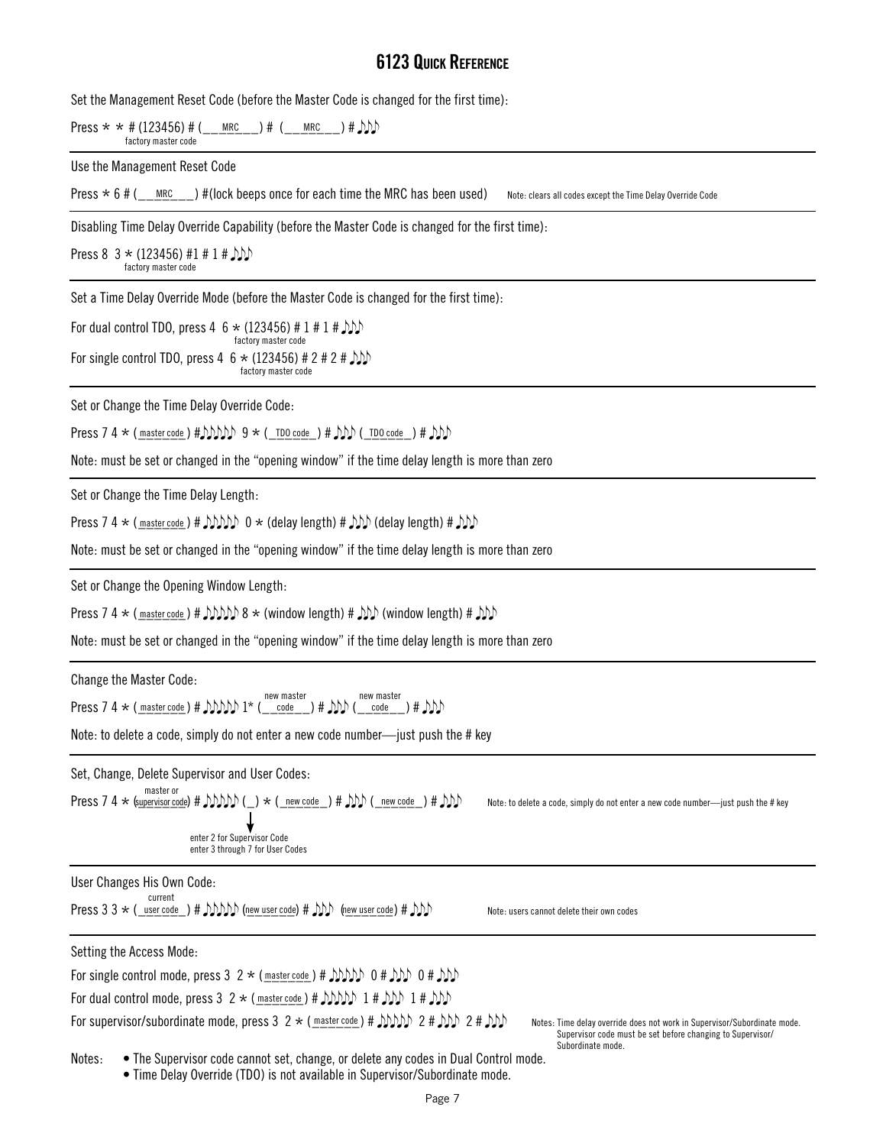# **6123 Quick Reference**

Set the Management Reset Code (before the Master Code is changed for the first time):

Press  $\star \star \#$  (123456) # (\_\_<u>\_\_\_\_\_\_\_\_</u>) # (\_\_\_\_\_\_\_\_\_\_\_) #  $\sum$ factory master code

Use the Management Reset Code

Press  $*$  6 # ( $\_\text{MRC}}$ ) #(lock beeps once for each time the MRC has been used) Note: clears all codes except the Time Delay Override Code

Disabling Time Delay Override Capability (before the Master Code is changed for the first time):

Press 8 3  $*$  (123456) #1 # 1 #  $\mathcal{D}$ factory master code

Set a Time Delay Override Mode (before the Master Code is changed for the first time):

For dual control TDO, press 4  $6 \times (123456) \# 1 \# 1 \#$ For single control TDO, press 4 6  $\star$  (123456) # 2 # 2 #  $\mathcal{D}\mathcal{D}$ factory master code factory master code

Set or Change the Time Delay Override Code:

Press 7 4  $\star$  ( $\frac{\text{master code}}{\text{#}}$ )  $\text{Prob}$  9  $\star$  ( $\frac{\text{TO code}}{\text{*}}$ )  $\text{H}$   $\text{MD}$  ( $\frac{\text{TO Code}}{\text{*}}$ )  $\text{H}$   $\text{DD}$ 

Note: must be set or changed in the "opening window" if the time delay length is more than zero

Set or Change the Time Delay Length:

Press 7 4  $\star$  ( <u>master code</u> ) #  $DDDD$  0  $\star$  (delay length) #  $DDD$  (delay length) #  $DD$ 

Note: must be set or changed in the "opening window" if the time delay length is more than zero

Set or Change the Opening Window Length:

Press 7 4  $\star$  ( $\frac{\text{master code}}{\text{# }}$   $\text{MDD}$  8  $\star$  (window length)  $\text{# }$   $\text{MD}$  (window length)  $\text{# }$   $\text{MD}$ 

Note: must be set or changed in the "opening window" if the time delay length is more than zero

Change the Master Code:

Press 7 4  $\star$  (master code) #  $MDDD 1$   $\star$  (  $\_\_code)$  #  $DD($   $\_\_code)$  #  $DD$ new master new master<br>code  $+ \Delta N$ 

Note: to delete a code, simply do not enter a new code number—just push the # key

Set, Change, Delete Supervisor and User Codes:

Press 7 4 
$$
\star
$$
 (supervisor code) #  $\text{MDD}(-) \star (-\text{new code}) \# \text{DD}(-\text{new code}) \# \text{DD}$  (new code) #  $\text{DD}$  enter 2 for Supervisor Code

Note: to delete a code, simply do not enter a new code number—just push the # key

User Changes His Own Code:

Press 3 3  $\star$  ( <u>user code</u> ) #  $MDD$  (new user code) #  $DD$  (new user code) #  $DD$ ) Note: users cannot delete their own codes current

enter 3 through 7 for User Codes

| Setting the Access Mode:                                                                                                                             |                                                                                                                                                            |
|------------------------------------------------------------------------------------------------------------------------------------------------------|------------------------------------------------------------------------------------------------------------------------------------------------------------|
| For single control mode, press 3 2 $\star$ (master code) # $MDD$ 0 $\sharp$ $MDD$ 0 $\sharp$ $MD$                                                    |                                                                                                                                                            |
| For dual control mode, press $3 \ 2 \times (\text{master code}) \# \text{ JMDD} \ 1 \# \text{ JMD} \ 1 \# \text{ JMD}$                               |                                                                                                                                                            |
| For supervisor/subordinate mode, press 3 2 $\star$ ( $\frac{mastercode}{dt}$ ) # $\frac{1}{2}$ ) $\frac{1}{2}$ 2 # $\frac{1}{2}$ ) 2 # $\frac{1}{2}$ | Notes: Time delay override does not work in Supervisor/Subordinate mode<br>Supervisor code must be set before changing to Supervisor/<br>Subordinate mode. |

Notes: • The Supervisor code cannot set, change, or delete any codes in Dual Control mode.

• Time Delay Override (TDO) is not available in Supervisor/Subordinate mode.